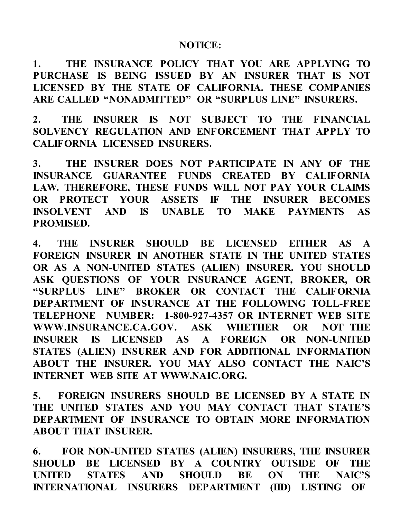## **NOTICE:**

**1. THE INSURANCE POLICY THAT YOU ARE APPLYING TO PURCHASE IS BEING ISSUED BY AN INSURER THAT IS NOT LICENSED BY THE STATE OF CALIFORNIA. THESE COMPANIES ARE CALLED "NONADMITTED" OR "SURPLUS LINE" INSURERS.**

**2. THE INSURER IS NOT SUBJECT TO THE FINANCIAL SOLVENCY REGULATION AND ENFORCEMENT THAT APPLY TO CALIFORNIA LICENSED INSURERS.**

**3. THE INSURER DOES NOT PARTICIPATE IN ANY OF THE INSURANCE GUARANTEE FUNDS CREATED BY CALIFORNIA LAW. THEREFORE, THESE FUNDS WILL NOT PAY YOUR CLAIMS OR PROTECT YOUR ASSETS IF THE INSURER BECOMES INSOLVENT AND IS UNABLE TO MAKE PAYMENTS AS PROMISED.**

**4. THE INSURER SHOULD BE LICENSED EITHER AS A FOREIGN INSURER IN ANOTHER STATE IN THE UNITED STATES OR AS A NON-UNITED STATES (ALIEN) INSURER. YOU SHOULD ASK QUESTIONS OF YOUR INSURANCE AGENT, BROKER, OR "SURPLUS LINE" BROKER OR CONTACT THE CALIFORNIA DEPARTMENT OF INSURANCE AT THE FOLLOWING TOLL-FREE TELEPHONE NUMBER: 1-800-927-4357 OR INTERNET WEB SITE WWW.INSURANCE.CA.GOV. ASK WHETHER OR NOT THE INSURER IS LICENSED AS A FOREIGN OR NON-UNITED STATES (ALIEN) INSURER AND FOR ADDITIONAL INFORMATION ABOUT THE INSURER. YOU MAY ALSO CONTACT THE NAIC'S INTERNET WEB SITE AT [WWW.NAIC.ORG.](http://www.naic.org/)**

**5. FOREIGN INSURERS SHOULD BE LICENSED BY A STATE IN THE UNITED STATES AND YOU MAY CONTACT THAT STATE'S DEPARTMENT OF INSURANCE TO OBTAIN MORE INFORMATION ABOUT THAT INSURER.**

**6. FOR NON-UNITED STATES (ALIEN) INSURERS, THE INSURER SHOULD BE LICENSED BY A COUNTRY OUTSIDE OF THE UNITED STATES AND SHOULD BE ON THE NAIC'S INTERNATIONAL INSURERS DEPARTMENT (IID) LISTING OF**